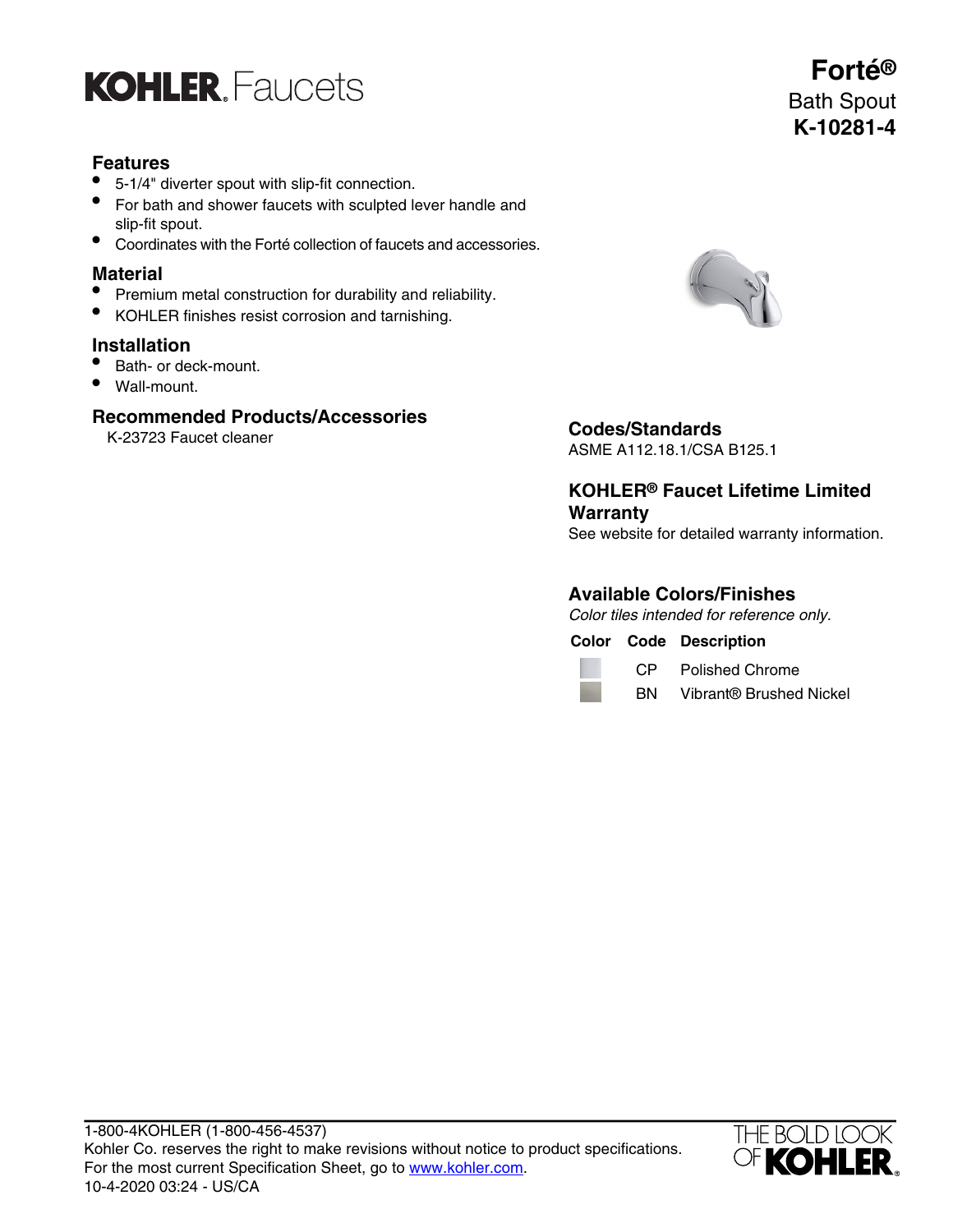

## **Features**

- 5-1/4" diverter spout with slip-fit connection.
- For bath and shower faucets with sculpted lever handle and slip-fit spout.
- Coordinates with the Forté collection of faucets and accessories.

#### **Material**

- Premium metal construction for durability and reliability.
- KOHLER finishes resist corrosion and tarnishing.

#### **Installation**

- Bath- or deck-mount.
- Wall-mount.

#### **Recommended Products/Accessories**





K-23723 Faucet cleaner **Codes/Standards**

ASME A112.18.1/CSA B125.1

**KOHLER® Faucet Lifetime Limited Warranty**

See website for detailed warranty information.

### **Available Colors/Finishes**

Color tiles intended for reference only.

**Color Code Description**

CP Polished Chrome

BN Vibrant® Brushed Nickel